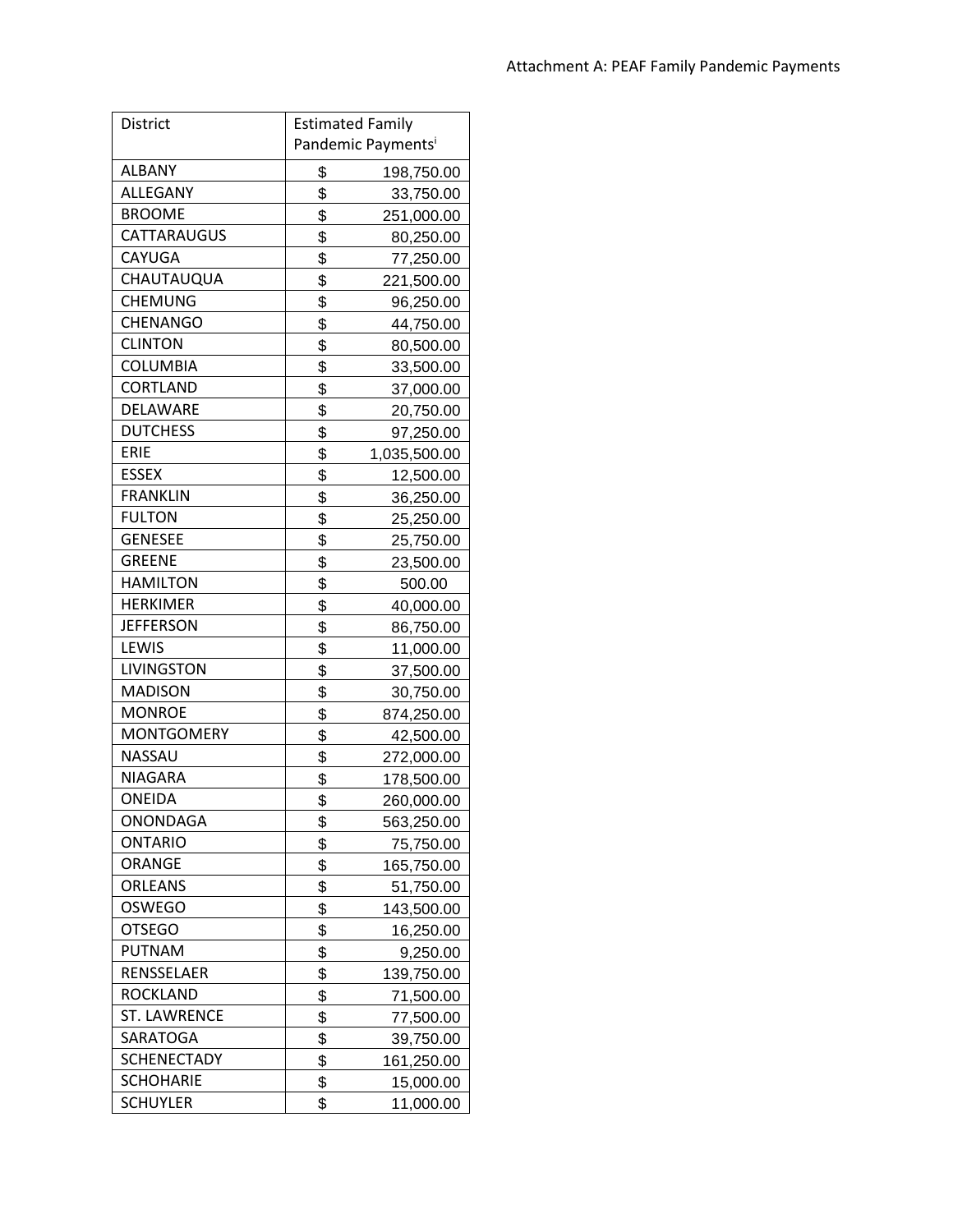| District           | <b>Estimated Family</b>        |              |
|--------------------|--------------------------------|--------------|
|                    | Pandemic Payments <sup>i</sup> |              |
| <b>ALBANY</b>      | \$                             | 198,750.00   |
| ALLEGANY           | \$                             | 33,750.00    |
| <b>BROOME</b>      | \$                             | 251,000.00   |
| CATTARAUGUS        | \$                             | 80,250.00    |
| CAYUGA             | \$                             | 77,250.00    |
| CHAUTAUQUA         | \$                             | 221,500.00   |
| CHEMUNG            | \$                             | 96,250.00    |
| <b>CHENANGO</b>    | \$                             | 44,750.00    |
| <b>CLINTON</b>     | \$                             | 80,500.00    |
| <b>COLUMBIA</b>    | \$                             | 33,500.00    |
| CORTLAND           | \$                             | 37,000.00    |
| DELAWARE           | \$                             | 20,750.00    |
| <b>DUTCHESS</b>    | \$                             | 97,250.00    |
| ERIE               | \$                             | 1,035,500.00 |
| <b>ESSEX</b>       | \$                             | 12,500.00    |
| <b>FRANKLIN</b>    | \$                             | 36,250.00    |
| <b>FULTON</b>      | \$                             | 25,250.00    |
| <b>GENESEE</b>     | \$                             | 25,750.00    |
| <b>GREENE</b>      | \$                             | 23,500.00    |
| <b>HAMILTON</b>    | \$                             | 500.00       |
| <b>HERKIMER</b>    | \$                             | 40,000.00    |
| <b>JEFFERSON</b>   | \$                             | 86,750.00    |
| LEWIS              | \$                             | 11,000.00    |
| <b>LIVINGSTON</b>  | \$                             | 37,500.00    |
| <b>MADISON</b>     | \$                             | 30,750.00    |
| <b>MONROE</b>      | \$                             | 874,250.00   |
| <b>MONTGOMERY</b>  | \$                             | 42,500.00    |
| NASSAU             | \$                             | 272,000.00   |
| <b>NIAGARA</b>     | \$                             | 178,500.00   |
| ONEIDA             | \$                             | 260,000.00   |
| ONONDAGA           | \$                             | 563,250.00   |
| <b>ONTARIO</b>     | \$                             | 75,750.00    |
| <b>ORANGE</b>      | \$                             | 165,750.00   |
| <b>ORLEANS</b>     | \$                             | 51,750.00    |
| <b>OSWEGO</b>      | \$                             | 143,500.00   |
| <b>OTSEGO</b>      | \$                             | 16,250.00    |
| <b>PUTNAM</b>      | \$                             | 9,250.00     |
| RENSSELAER         | \$                             | 139,750.00   |
| ROCKLAND           | \$                             | 71,500.00    |
| ST. LAWRENCE       | \$                             | 77,500.00    |
| SARATOGA           | \$                             | 39,750.00    |
| <b>SCHENECTADY</b> | \$                             | 161,250.00   |
| <b>SCHOHARIE</b>   | \$                             | 15,000.00    |
| SCHUYLER           | \$                             | 11,000.00    |